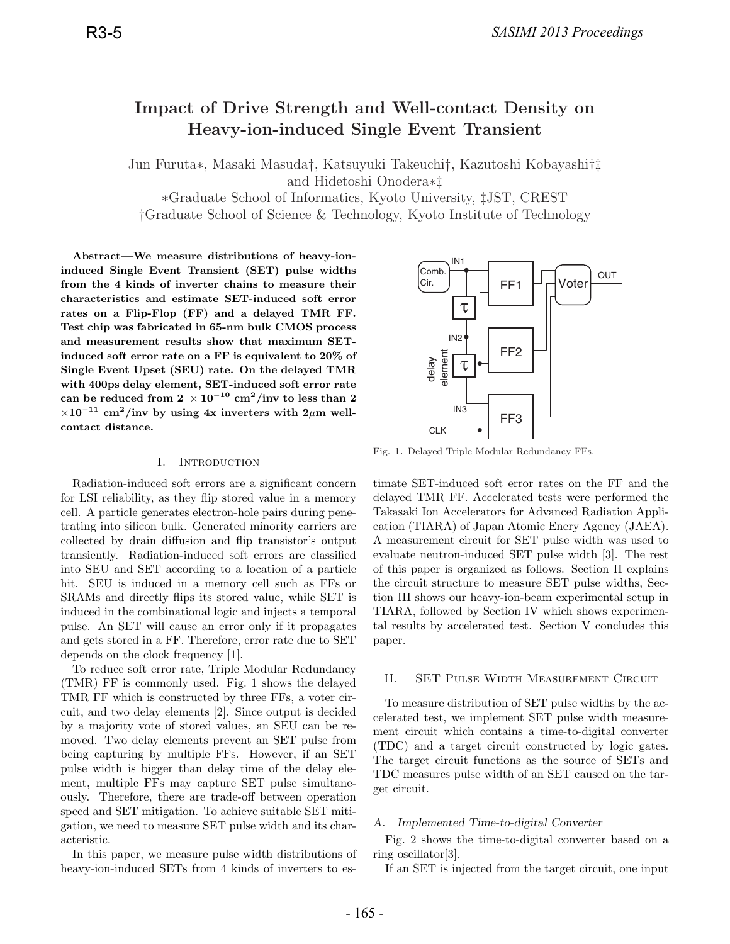# **Impact of Drive Strength and Well-contact Density on Heavy-ion-induced Single Event Transient**

Jun Furuta∗, Masaki Masuda†, Katsuyuki Takeuchi†, Kazutoshi Kobayashi†‡ and Hidetoshi Onodera∗‡

∗Graduate School of Informatics, Kyoto University, ‡JST, CREST †Graduate School of Science & Technology, Kyoto Institute of Technology

**Abstract—We measure distributions of heavy-ioninduced Single Event Transient (SET) pulse widths from the 4 kinds of inverter chains to measure their characteristics and estimate SET-induced soft error rates on a Flip-Flop (FF) and a delayed TMR FF. Test chip was fabricated in 65-nm bulk CMOS process and measurement results show that maximum SETinduced soft error rate on a FF is equivalent to 20% of Single Event Upset (SEU) rate. On the delayed TMR with 400ps delay element, SET-induced soft error rate**  $\text{can be reduced from 2} \times 10^{-10} \text{ cm}^2/\text{inv to less than 2}$  $\times 10^{-11}$  cm<sup>2</sup>/inv by using 4x inverters with 2 $\mu$ m well**contact distance.**

#### I. Introduction

Radiation-induced soft errors are a significant concern for LSI reliability, as they flip stored value in a memory cell. A particle generates electron-hole pairs during penetrating into silicon bulk. Generated minority carriers are collected by drain diffusion and flip transistor's output transiently. Radiation-induced soft errors are classified into SEU and SET according to a location of a particle hit. SEU is induced in a memory cell such as FFs or SRAMs and directly flips its stored value, while SET is induced in the combinational logic and injects a temporal pulse. An SET will cause an error only if it propagates and gets stored in a FF. Therefore, error rate due to SET depends on the clock frequency [1].

To reduce soft error rate, Triple Modular Redundancy (TMR) FF is commonly used. Fig. 1 shows the delayed TMR FF which is constructed by three FFs, a voter circuit, and two delay elements [2]. Since output is decided by a majority vote of stored values, an SEU can be removed. Two delay elements prevent an SET pulse from being capturing by multiple FFs. However, if an SET pulse width is bigger than delay time of the delay element, multiple FFs may capture SET pulse simultaneously. Therefore, there are trade-off between operation speed and SET mitigation. To achieve suitable SET mitigation, we need to measure SET pulse width and its characteristic.

In this paper, we measure pulse width distributions of heavy-ion-induced SETs from 4 kinds of inverters to es-



Fig. 1. Delayed Triple Modular Redundancy FFs.

timate SET-induced soft error rates on the FF and the delayed TMR FF. Accelerated tests were performed the Takasaki Ion Accelerators for Advanced Radiation Application (TIARA) of Japan Atomic Enery Agency (JAEA). A measurement circuit for SET pulse width was used to evaluate neutron-induced SET pulse width [3]. The rest of this paper is organized as follows. Section II explains the circuit structure to measure SET pulse widths, Section III shows our heavy-ion-beam experimental setup in TIARA, followed by Section IV which shows experimental results by accelerated test. Section V concludes this paper.

#### II. SET Pulse Width Measurement Circuit

To measure distribution of SET pulse widths by the accelerated test, we implement SET pulse width measurement circuit which contains a time-to-digital converter (TDC) and a target circuit constructed by logic gates. The target circuit functions as the source of SETs and TDC measures pulse width of an SET caused on the target circuit.

# *A. Implemented Time-to-digital Converter*

Fig. 2 shows the time-to-digital converter based on a ring oscillator[3].

If an SET is injected from the target circuit, one input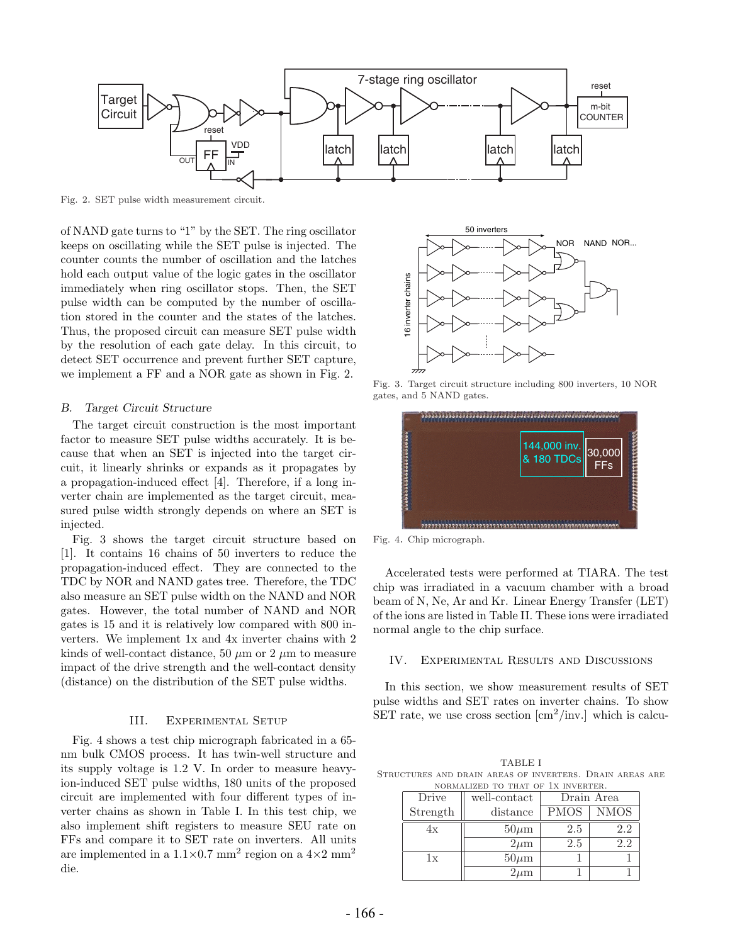

Fig. 2. SET pulse width measurement circuit.

of NAND gate turns to "1" by the SET. The ring oscillator keeps on oscillating while the SET pulse is injected. The counter counts the number of oscillation and the latches hold each output value of the logic gates in the oscillator immediately when ring oscillator stops. Then, the SET pulse width can be computed by the number of oscillation stored in the counter and the states of the latches. Thus, the proposed circuit can measure SET pulse width by the resolution of each gate delay. In this circuit, to detect SET occurrence and prevent further SET capture, we implement a FF and a NOR gate as shown in Fig. 2.

#### *B. Target Circuit Structure*

The target circuit construction is the most important factor to measure SET pulse widths accurately. It is because that when an SET is injected into the target circuit, it linearly shrinks or expands as it propagates by a propagation-induced effect [4]. Therefore, if a long inverter chain are implemented as the target circuit, measured pulse width strongly depends on where an SET is injected.

Fig. 3 shows the target circuit structure based on [1]. It contains 16 chains of 50 inverters to reduce the propagation-induced effect. They are connected to the TDC by NOR and NAND gates tree. Therefore, the TDC also measure an SET pulse width on the NAND and NOR gates. However, the total number of NAND and NOR gates is 15 and it is relatively low compared with 800 inverters. We implement 1x and 4x inverter chains with 2 kinds of well-contact distance, 50  $\mu$ m or 2  $\mu$ m to measure impact of the drive strength and the well-contact density (distance) on the distribution of the SET pulse widths.

#### III. Experimental Setup

Fig. 4 shows a test chip micrograph fabricated in a 65 nm bulk CMOS process. It has twin-well structure and its supply voltage is 1.2 V. In order to measure heavyion-induced SET pulse widths, 180 units of the proposed circuit are implemented with four different types of inverter chains as shown in Table I. In this test chip, we also implement shift registers to measure SEU rate on FFs and compare it to SET rate on inverters. All units are implemented in a  $1.1\times0.7$  mm<sup>2</sup> region on a  $4\times2$  mm<sup>2</sup> die.



Fig. 3. Target circuit structure including 800 inverters, 10 NOR gates, and 5 NAND gates.



Fig. 4. Chip micrograph.

Accelerated tests were performed at TIARA. The test chip was irradiated in a vacuum chamber with a broad beam of N, Ne, Ar and Kr. Linear Energy Transfer (LET) of the ions are listed in Table II. These ions were irradiated normal angle to the chip surface.

# IV. Experimental Results and Discussions

In this section, we show measurement results of SET pulse widths and SET rates on inverter chains. To show SET rate, we use cross section  $\left[\text{cm}^2/\text{inv.}\right]$  which is calcu-

TABLE I Structures and drain areas of inverters. Drain areas are normalized to that of 1x inverter.

| Drive    | well-contact | Drain Area  |             |
|----------|--------------|-------------|-------------|
| Strength | distance     | <b>PMOS</b> | <b>NMOS</b> |
| 4x       | $50 \mu m$   | 2.5         | 2.2         |
|          | $2\mu m$     | 2.5         | 2.2         |
| 1x       | $50 \mu m$   |             |             |
|          | $2\mu$ m     |             |             |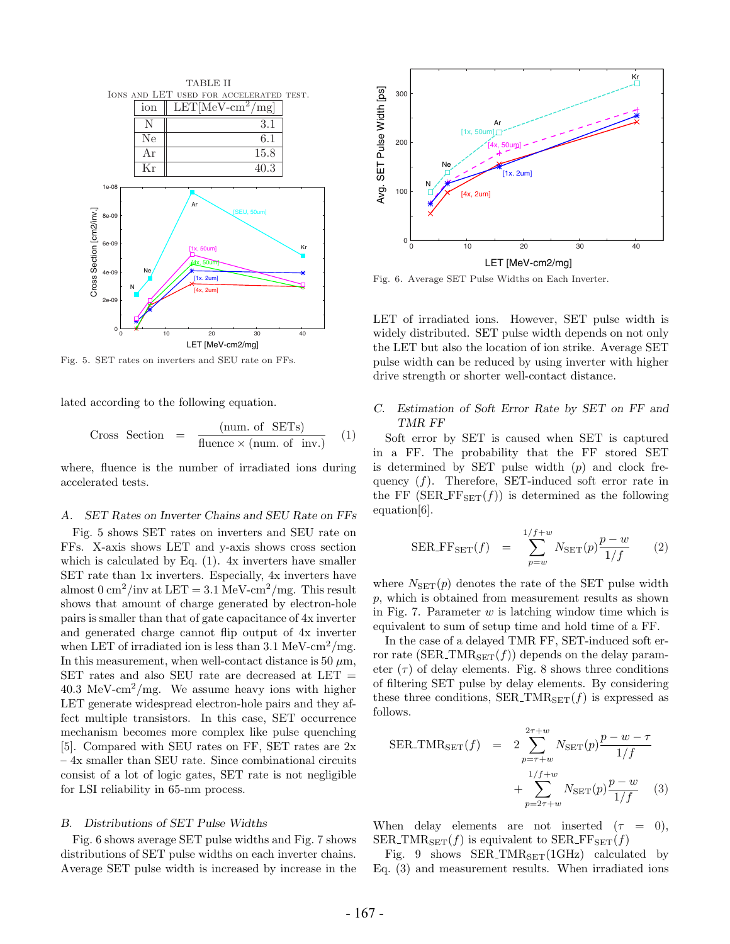

Fig. 5. SET rates on inverters and SEU rate on FFs.

lated according to the following equation.

Cross Section = 
$$
\frac{\text{(num. of SETs)}}{\text{fluence} \times \text{(num. of inv.)}} \quad (1)
$$

where, fluence is the number of irradiated ions during accelerated tests.

#### *A. SET Rates on Inverter Chains and SEU Rate on FFs*

Fig. 5 shows SET rates on inverters and SEU rate on FFs. X-axis shows LET and y-axis shows cross section which is calculated by Eq. (1). 4x inverters have smaller SET rate than 1x inverters. Especially, 4x inverters have almost  $0 \text{ cm}^2/\text{inv}$  at  $LET = 3.1 \text{ MeV-cm}^2/\text{mg}$ . This result shows that amount of charge generated by electron-hole pairs is smaller than that of gate capacitance of 4x inverter and generated charge cannot flip output of 4x inverter when LET of irradiated ion is less than  $3.1 \text{ MeV-cm}^2/\text{mg}$ . In this measurement, when well-contact distance is 50  $\mu$ m, SET rates and also SEU rate are decreased at LET =  $40.3 \text{ MeV-cm}^2/\text{mg}$ . We assume heavy ions with higher LET generate widespread electron-hole pairs and they affect multiple transistors. In this case, SET occurrence mechanism becomes more complex like pulse quenching [5]. Compared with SEU rates on FF, SET rates are 2x – 4x smaller than SEU rate. Since combinational circuits consist of a lot of logic gates, SET rate is not negligible for LSI reliability in 65-nm process.

#### *B. Distributions of SET Pulse Widths*

Fig. 6 shows average SET pulse widths and Fig. 7 shows distributions of SET pulse widths on each inverter chains. Average SET pulse width is increased by increase in the



Fig. 6. Average SET Pulse Widths on Each Inverter.

LET of irradiated ions. However, SET pulse width is widely distributed. SET pulse width depends on not only the LET but also the location of ion strike. Average SET pulse width can be reduced by using inverter with higher drive strength or shorter well-contact distance.

# *C. Estimation of Soft Error Rate by SET on FF and TMR FF*

Soft error by SET is caused when SET is captured in a FF. The probability that the FF stored SET is determined by SET pulse width  $(p)$  and clock frequency  $(f)$ . Therefore, SET-induced soft error rate in the FF ( $SER\_FF_{SET}(f)$ ) is determined as the following equation[6].

$$
SER\_FF_{SET}(f) = \sum_{p=w}^{1/f+w} N_{SET}(p) \frac{p-w}{1/f}
$$
 (2)

where  $N_{\text{SET}}(p)$  denotes the rate of the SET pulse width  $p$ , which is obtained from measurement results as shown in Fig. 7. Parameter  $w$  is latching window time which is equivalent to sum of setup time and hold time of a FF.

In the case of a delayed TMR FF, SET-induced soft error rate (SER\_TMR<sub>SET</sub> $(f)$ ) depends on the delay parameter  $(\tau)$  of delay elements. Fig. 8 shows three conditions of filtering SET pulse by delay elements. By considering these three conditions, SER\_TMR<sub>SET</sub> $(f)$  is expressed as follows.

$$
SER\_TMR_{SET}(f) = 2 \sum_{p=\tau+w}^{2\tau+w} N_{SET}(p) \frac{p-w-\tau}{1/f} + \sum_{p=2\tau+w}^{1/f+w} N_{SET}(p) \frac{p-w}{1/f}
$$
 (3)

When delay elements are not inserted  $(\tau = 0)$ , SER\_TMR<sub>SET</sub> $(f)$  is equivalent to SER\_FF<sub>SET</sub> $(f)$ 

Fig. 9 shows  $SER\_TMR_{SET}(1GHz)$  calculated by Eq. (3) and measurement results. When irradiated ions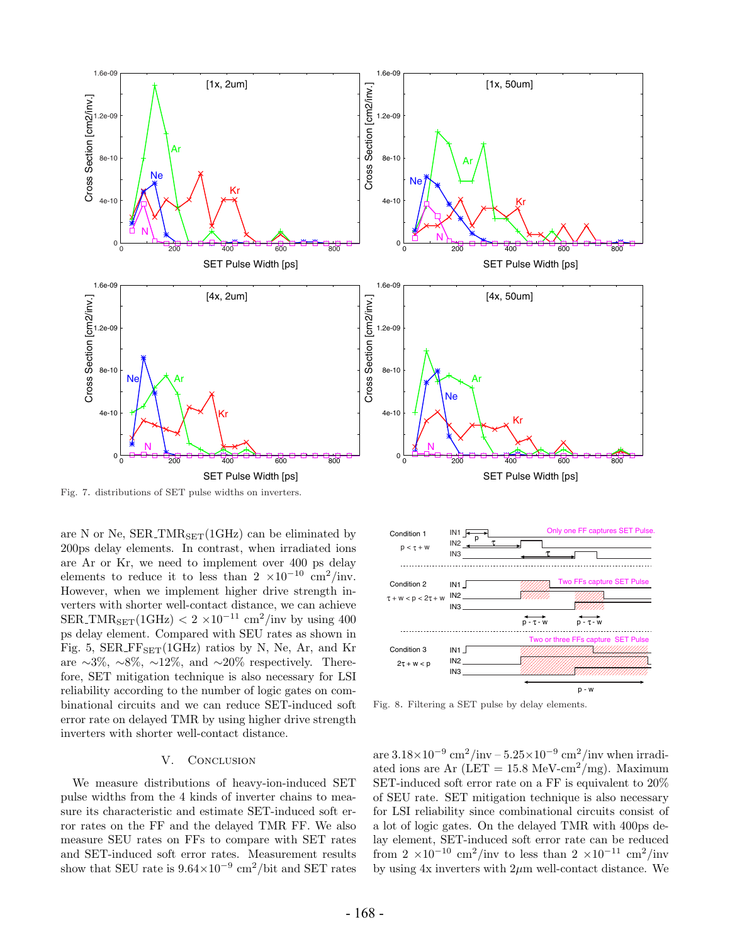

Fig. 7. distributions of SET pulse widths on inverters.

are N or Ne,  $SER\_TMR_{SET}(1GHz)$  can be eliminated by 200ps delay elements. In contrast, when irradiated ions are Ar or Kr, we need to implement over 400 ps delay elements to reduce it to less than  $2 \times 10^{-10}$  cm<sup>2</sup>/inv. However, when we implement higher drive strength inverters with shorter well-contact distance, we can achieve  $\text{SER\_TMR}_{\text{SET}}(1\text{GHz}) < 2 \times 10^{-11} \text{ cm}^2/\text{inv}$  by using 400 ps delay element. Compared with SEU rates as shown in Fig. 5,  $SER\_FF_{SET}(1GHz)$  ratios by N, Ne, Ar, and Kr are ∼3%, ∼8%, ∼12%, and ∼20% respectively. Therefore, SET mitigation technique is also necessary for LSI reliability according to the number of logic gates on combinational circuits and we can reduce SET-induced soft error rate on delayed TMR by using higher drive strength inverters with shorter well-contact distance.

# V. CONCLUSION

We measure distributions of heavy-ion-induced SET pulse widths from the 4 kinds of inverter chains to measure its characteristic and estimate SET-induced soft error rates on the FF and the delayed TMR FF. We also measure SEU rates on FFs to compare with SET rates and SET-induced soft error rates. Measurement results show that SEU rate is  $9.64 \times 10^{-9}$  cm<sup>2</sup>/bit and SET rates



Fig. 8. Filtering a SET pulse by delay elements.

are  $3.18\times10^{-9}$  cm<sup>2</sup>/inv –  $5.25\times10^{-9}$  cm<sup>2</sup>/inv when irradiated ions are Ar (LET =  $15.8 \text{ MeV-cm}^2/\text{mg}$ ). Maximum SET-induced soft error rate on a FF is equivalent to 20% of SEU rate. SET mitigation technique is also necessary for LSI reliability since combinational circuits consist of a lot of logic gates. On the delayed TMR with 400ps delay element, SET-induced soft error rate can be reduced from  $2 \times 10^{-10}$  cm<sup>2</sup>/inv to less than  $2 \times 10^{-11}$  cm<sup>2</sup>/inv by using  $4x$  inverters with  $2\mu m$  well-contact distance. We